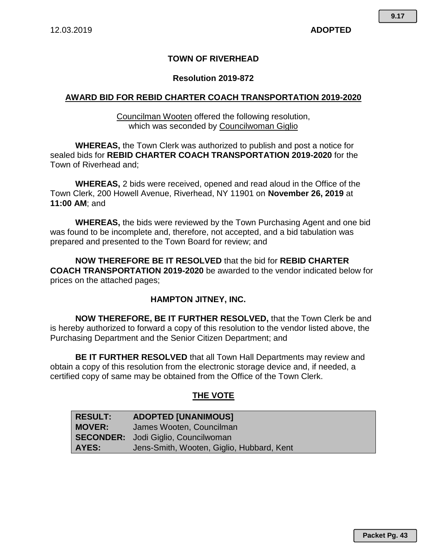## **TOWN OF RIVERHEAD**

### **Resolution 2019-872**

## **AWARD BID FOR REBID CHARTER COACH TRANSPORTATION 2019-2020**

Councilman Wooten offered the following resolution, which was seconded by Councilwoman Giglio

**WHEREAS,** the Town Clerk was authorized to publish and post a notice for sealed bids for **REBID CHARTER COACH TRANSPORTATION 2019-2020** for the Town of Riverhead and;

**WHEREAS,** 2 bids were received, opened and read aloud in the Office of the Town Clerk, 200 Howell Avenue, Riverhead, NY 11901 on **November 26, 2019** at **11:00 AM**; and

**WHEREAS,** the bids were reviewed by the Town Purchasing Agent and one bid was found to be incomplete and, therefore, not accepted, and a bid tabulation was prepared and presented to the Town Board for review; and

**NOW THEREFORE BE IT RESOLVED** that the bid for **REBID CHARTER COACH TRANSPORTATION 2019-2020** be awarded to the vendor indicated below for prices on the attached pages;

#### **HAMPTON JITNEY, INC.**

**NOW THEREFORE, BE IT FURTHER RESOLVED,** that the Town Clerk be and is hereby authorized to forward a copy of this resolution to the vendor listed above, the Purchasing Department and the Senior Citizen Department; and

**BE IT FURTHER RESOLVED** that all Town Hall Departments may review and obtain a copy of this resolution from the electronic storage device and, if needed, a certified copy of same may be obtained from the Office of the Town Clerk.

## **THE VOTE**

| <b>RESULT:</b> | <b>ADOPTED [UNANIMOUS]</b>                 |
|----------------|--------------------------------------------|
| <b>MOVER:</b>  | James Wooten, Councilman                   |
|                | <b>SECONDER:</b> Jodi Giglio, Councilwoman |
| AYES:          | Jens-Smith, Wooten, Giglio, Hubbard, Kent  |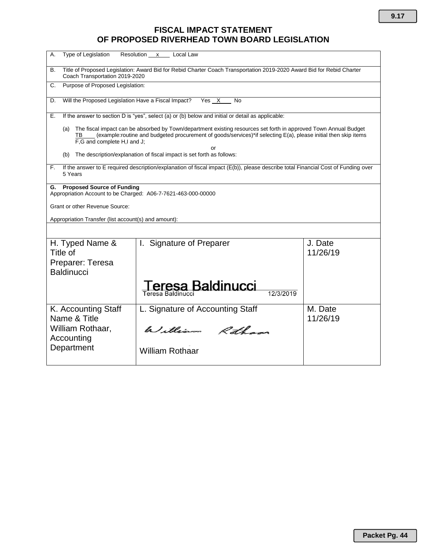# **FISCAL IMPACT STATEMENT OF PROPOSED RIVERHEAD TOWN BOARD LEGISLATION**

| Type of Legislation<br>Α.                                                                                                                                                                                                                                                            | Resolution x<br>Local Law                                                                         |                     |  |  |  |  |  |  |  |
|--------------------------------------------------------------------------------------------------------------------------------------------------------------------------------------------------------------------------------------------------------------------------------------|---------------------------------------------------------------------------------------------------|---------------------|--|--|--|--|--|--|--|
| Title of Proposed Legislation: Award Bid for Rebid Charter Coach Transportation 2019-2020 Award Bid for Rebid Charter<br><b>B.</b><br>Coach Transportation 2019-2020                                                                                                                 |                                                                                                   |                     |  |  |  |  |  |  |  |
| Purpose of Proposed Legislation:<br>C.                                                                                                                                                                                                                                               |                                                                                                   |                     |  |  |  |  |  |  |  |
| Will the Proposed Legislation Have a Fiscal Impact?<br>Yes X<br>D.<br>No                                                                                                                                                                                                             |                                                                                                   |                     |  |  |  |  |  |  |  |
| Е.                                                                                                                                                                                                                                                                                   | If the answer to section D is "yes", select (a) or (b) below and initial or detail as applicable: |                     |  |  |  |  |  |  |  |
| The fiscal impact can be absorbed by Town/department existing resources set forth in approved Town Annual Budget<br>(a)<br>(example:routine and budgeted procurement of goods/services)*if selecting E(a), please initial then skip items<br>TВ<br>F,G and complete H,I and J;<br>Ωr |                                                                                                   |                     |  |  |  |  |  |  |  |
| The description/explanation of fiscal impact is set forth as follows:<br>(b)                                                                                                                                                                                                         |                                                                                                   |                     |  |  |  |  |  |  |  |
| If the answer to E required description/explanation of fiscal impact (E(b)), please describe total Financial Cost of Funding over<br>F.<br>5 Years                                                                                                                                   |                                                                                                   |                     |  |  |  |  |  |  |  |
| <b>Proposed Source of Funding</b><br>G.<br>Appropriation Account to be Charged: A06-7-7621-463-000-00000                                                                                                                                                                             |                                                                                                   |                     |  |  |  |  |  |  |  |
| Grant or other Revenue Source:                                                                                                                                                                                                                                                       |                                                                                                   |                     |  |  |  |  |  |  |  |
| Appropriation Transfer (list account(s) and amount):                                                                                                                                                                                                                                 |                                                                                                   |                     |  |  |  |  |  |  |  |
|                                                                                                                                                                                                                                                                                      |                                                                                                   |                     |  |  |  |  |  |  |  |
| H. Typed Name &<br>Title of                                                                                                                                                                                                                                                          | I. Signature of Preparer                                                                          | J. Date<br>11/26/19 |  |  |  |  |  |  |  |
| Preparer: Teresa<br><b>Baldinucci</b>                                                                                                                                                                                                                                                |                                                                                                   |                     |  |  |  |  |  |  |  |
|                                                                                                                                                                                                                                                                                      | eresa Baldinucci<br>Teresa Baldinucci                                                             |                     |  |  |  |  |  |  |  |
| K. Accounting Staff<br>Name & Title                                                                                                                                                                                                                                                  | L. Signature of Accounting Staff                                                                  | M. Date<br>11/26/19 |  |  |  |  |  |  |  |
| William Rothaar,<br>Accounting                                                                                                                                                                                                                                                       | William Rotham                                                                                    |                     |  |  |  |  |  |  |  |
| Department                                                                                                                                                                                                                                                                           | <b>William Rothaar</b>                                                                            |                     |  |  |  |  |  |  |  |